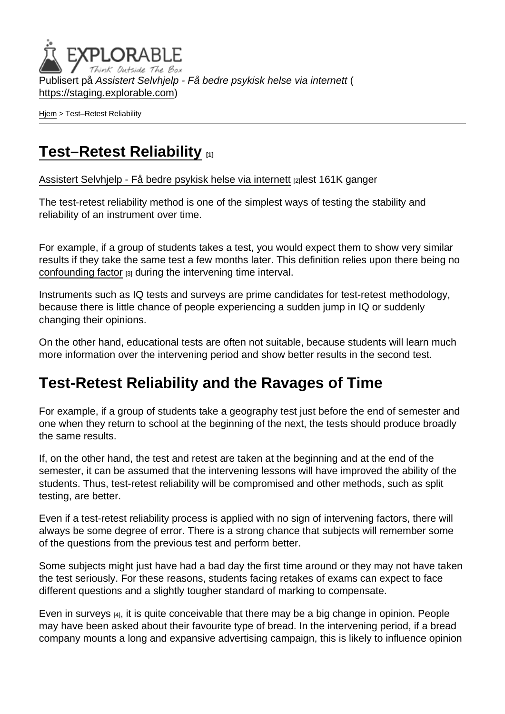Publisert på Assistert Selvhjelp - Få bedre psykisk helse via internett ( <https://staging.explorable.com>)

[Hjem](https://staging.explorable.com/) > Test–Retest Reliability

## [Test–Retest Reliability](https://staging.explorable.com/test-retest-reliability) [1]

[Assistert Selvhjelp - Få bedre psykisk helse via internett](https://staging.explorable.com/en) [2]lest 161K ganger

The test-retest reliability method is one of the simplest ways of testing the stability and reliability of an instrument over time.

For example, if a group of students takes a test, you would expect them to show very similar results if they take the same test a few months later. This definition relies upon there being no [confounding factor](https://staging.explorable.com/confounding-variables) [3] during the intervening time interval.

Instruments such as IQ tests and surveys are prime candidates for test-retest methodology, because there is little chance of people experiencing a sudden jump in IQ or suddenly changing their opinions.

On the other hand, educational tests are often not suitable, because students will learn much more information over the intervening period and show better results in the second test.

## Test-Retest Reliability and the Ravages of Time

For example, if a group of students take a geography test just before the end of semester and one when they return to school at the beginning of the next, the tests should produce broadly the same results.

If, on the other hand, the test and retest are taken at the beginning and at the end of the semester, it can be assumed that the intervening lessons will have improved the ability of the students. Thus, test-retest reliability will be compromised and other methods, such as split testing, are better.

Even if a test-retest reliability process is applied with no sign of intervening factors, there will always be some degree of error. There is a strong chance that subjects will remember some of the questions from the previous test and perform better.

Some subjects might just have had a bad day the first time around or they may not have taken the test seriously. For these reasons, students facing retakes of exams can expect to face different questions and a slightly tougher standard of marking to compensate.

Even in [surveys](https://staging.explorable.com/survey-research-design) [4], it is quite conceivable that there may be a big change in opinion. People may have been asked about their favourite type of bread. In the intervening period, if a bread company mounts a long and expansive advertising campaign, this is likely to influence opinion